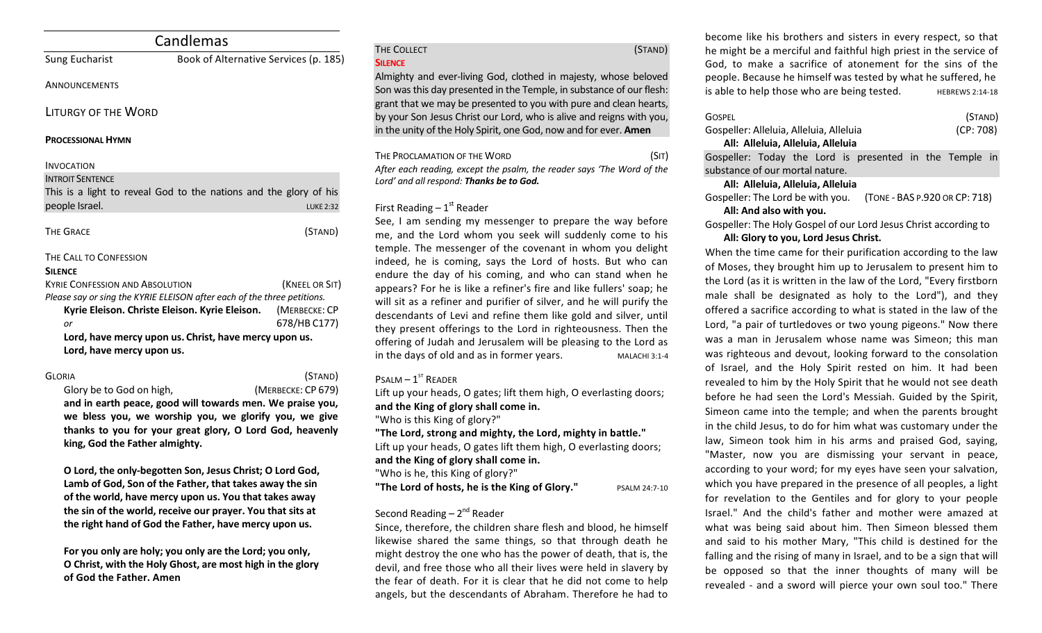| Candlemas                                             |                                                                         |  |
|-------------------------------------------------------|-------------------------------------------------------------------------|--|
| Sung Eucharist                                        | Book of Alternative Services (p. 185)                                   |  |
| ANNOUNCEMENTS                                         |                                                                         |  |
| LITURGY OF THE WORD                                   |                                                                         |  |
| <b>PROCESSIONAL HYMN</b>                              |                                                                         |  |
| <b>INVOCATION</b>                                     |                                                                         |  |
| <b>INTROIT SENTENCE</b>                               |                                                                         |  |
|                                                       | This is a light to reveal God to the nations and the glory of his       |  |
| people Israel.                                        | <b>LUKE 2:32</b>                                                        |  |
| <b>THE GRACE</b>                                      | (STAND)                                                                 |  |
| THE CALL TO CONFESSION                                |                                                                         |  |
| <b>SILENCE</b>                                        |                                                                         |  |
| <b>KYRIE CONFESSION AND ABSOLUTION</b>                | (KNEEL OR SIT)                                                          |  |
|                                                       | Please say or sing the KYRIE ELEISON after each of the three petitions. |  |
| Kyrie Eleison. Christe Eleison. Kyrie Eleison.        | (MERBECKE: CP                                                           |  |
| or                                                    | 678/HB C177)                                                            |  |
| Lord, have mercy upon us. Christ, have mercy upon us. |                                                                         |  |
| Lord, have mercy upon us.                             |                                                                         |  |

GLORIA (STAND) Glory be to God on high, *COD (MERBECKE: CP 679)* 

and in earth peace, good will towards men. We praise you, we bless you, we worship you, we glorify you, we give thanks to you for your great glory, O Lord God, heavenly king, God the Father almighty.

**O** Lord, the only-begotten Son, Jesus Christ; O Lord God, Lamb of God, Son of the Father, that takes away the sin of the world, have mercy upon us. You that takes away the sin of the world, receive our prayer. You that sits at the right hand of God the Father, have mercy upon us.

For you only are holy; you only are the Lord; you only, **O** Christ, with the Holy Ghost, are most high in the glory **of God the Father. Amen**

# **SILENCE**

THE COLLECT (STAND)

Almighty and ever-living God, clothed in majesty, whose beloved Son was this day presented in the Temple, in substance of our flesh: grant that we may be presented to you with pure and clean hearts, by your Son Jesus Christ our Lord, who is alive and reigns with you, in the unity of the Holy Spirit, one God, now and for ever. Amen

THE PROCLAMATION OF THE WORD (SIT) After each reading, except the psalm, the reader says 'The Word of the Lord' and all respond: Thanks be to God.

## First Reading  $-1<sup>st</sup>$  Reader

See, I am sending my messenger to prepare the way before me, and the Lord whom you seek will suddenly come to his temple. The messenger of the covenant in whom you delight indeed, he is coming, says the Lord of hosts. But who can endure the day of his coming, and who can stand when he appears? For he is like a refiner's fire and like fullers' soap; he will sit as a refiner and purifier of silver, and he will purify the descendants of Levi and refine them like gold and silver, until they present offerings to the Lord in righteousness. Then the offering of Judah and Jerusalem will be pleasing to the Lord as in the days of old and as in former years. MALACHI 3:1-4

# $P$ SALM –  $1^{ST}$  RFADER

Lift up your heads, O gates; lift them high, O everlasting doors;

and the King of glory shall come in.

"Who is this King of glory?"

"The Lord, strong and mighty, the Lord, mighty in battle."

Lift up your heads, O gates lift them high, O everlasting doors; and the King of glory shall come in.

"Who is he, this King of glory?"

**"The Lord of hosts, he is the King of Glory."** PSALM 24:7-10

# Second Reading  $- 2<sup>nd</sup>$  Reader

Since, therefore, the children share flesh and blood, he himself likewise shared the same things, so that through death he might destroy the one who has the power of death, that is, the devil, and free those who all their lives were held in slavery by the fear of death. For it is clear that he did not come to help angels, but the descendants of Abraham. Therefore he had to

become like his brothers and sisters in every respect, so that he might be a merciful and faithful high priest in the service of God, to make a sacrifice of atonement for the sins of the people. Because he himself was tested by what he suffered, he is able to help those who are being tested.  $H = 14.18$ 

| GOSPEL                                  | (STAND)   |
|-----------------------------------------|-----------|
| Gospeller: Alleluia, Alleluia, Alleluia | (CP: 708) |
| All: Alleluia, Alleluia, Alleluia       |           |

Gospeller: Today the Lord is presented in the Temple in substance of our mortal nature.

### **All: Alleluia, Alleluia, Alleluia**

Gospeller: The Lord be with you. (TONE - BAS P.920 OR CP: 718)

### All: And also with you.

Gospeller: The Holy Gospel of our Lord Jesus Christ according to All: Glory to you, Lord Jesus Christ.

When the time came for their purification according to the law of Moses, they brought him up to Jerusalem to present him to the Lord (as it is written in the law of the Lord, "Every firstborn male shall be designated as holy to the Lord"), and they offered a sacrifice according to what is stated in the law of the Lord, "a pair of turtledoves or two young pigeons." Now there was a man in Jerusalem whose name was Simeon; this man was righteous and devout, looking forward to the consolation of Israel, and the Holy Spirit rested on him. It had been revealed to him by the Holy Spirit that he would not see death before he had seen the Lord's Messiah. Guided by the Spirit, Simeon came into the temple; and when the parents brought in the child Jesus, to do for him what was customary under the law, Simeon took him in his arms and praised God, saying, "Master, now you are dismissing your servant in peace, according to your word; for my eyes have seen your salvation, which you have prepared in the presence of all peoples, a light for revelation to the Gentiles and for glory to your people Israel." And the child's father and mother were amazed at what was being said about him. Then Simeon blessed them and said to his mother Mary, "This child is destined for the falling and the rising of many in Israel, and to be a sign that will be opposed so that the inner thoughts of many will be revealed - and a sword will pierce your own soul too." There